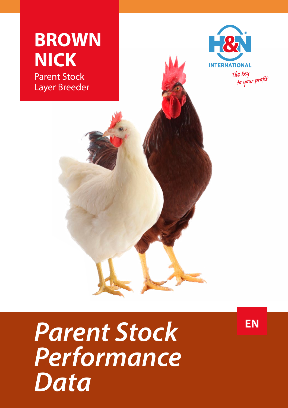

**EN**

## *Parent Stock Performance Data*